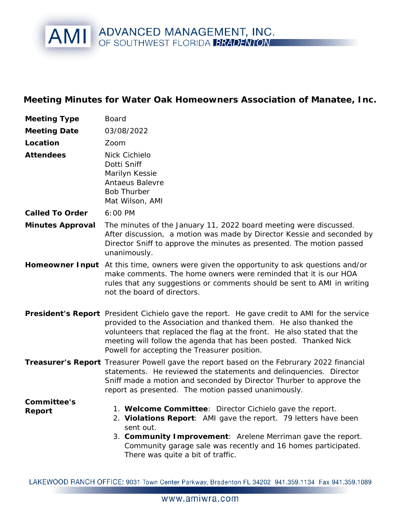## AMI ADVANCED MANAGEMENT, INC.

**Meeting Minutes for Water Oak Homeowners Association of Manatee, Inc.**

| Meeting Type          | <b>Board</b>                                                                                                                                                                                                                                                                                                                                                      |
|-----------------------|-------------------------------------------------------------------------------------------------------------------------------------------------------------------------------------------------------------------------------------------------------------------------------------------------------------------------------------------------------------------|
| <b>Meeting Date</b>   | 03/08/2022                                                                                                                                                                                                                                                                                                                                                        |
| Location              | Zoom                                                                                                                                                                                                                                                                                                                                                              |
| Attendees             | Nick Cichielo<br>Dotti Sniff<br>Marilyn Kessie<br>Antaeus Balevre<br><b>Bob Thurber</b><br>Mat Wilson, AMI                                                                                                                                                                                                                                                        |
| Called To Order       | 6:00 PM                                                                                                                                                                                                                                                                                                                                                           |
| Minutes Approval      | The minutes of the January 11, 2022 board meeting were discussed.<br>After discussion, a motion was made by Director Kessie and seconded by<br>Director Sniff to approve the minutes as presented. The motion passed<br>unanimously.                                                                                                                              |
|                       | Homeowner Input At this time, owners were given the opportunity to ask questions and/or<br>make comments. The home owners were reminded that it is our HOA<br>rules that any suggestions or comments should be sent to AMI in writing<br>not the board of directors.                                                                                              |
|                       | President's Report President Cichielo gave the report. He gave credit to AMI for the service<br>provided to the Association and thanked them. He also thanked the<br>volunteers that replaced the flag at the front. He also stated that the<br>meeting will follow the agenda that has been posted. Thanked Nick<br>Powell for accepting the Treasurer position. |
|                       | Treasurer's Report Treasurer Powell gave the report based on the Februrary 2022 financial<br>statements. He reviewed the statements and delinquencies. Director<br>Sniff made a motion and seconded by Director Thurber to approve the<br>report as presented. The motion passed unanimously.                                                                     |
| Committee's<br>Report | 1. Welcome Committee: Director Cichielo gave the report.<br>2. Violations Report: AMI gave the report. 79 letters have been<br>sent out.<br>3. Community Improvement: Arelene Merriman gave the report.<br>Community garage sale was recently and 16 homes participated.<br>There was quite a bit of traffic.                                                     |

LAKEWOOD RANCH OFFICE: 9031 Town Center Parkway, Bradenton FL 34202 941.359.1134 Fax 941.359.1089